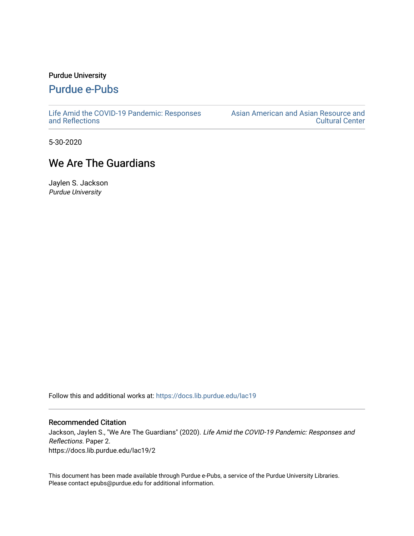## Purdue University

## [Purdue e-Pubs](https://docs.lib.purdue.edu/)

[Life Amid the COVID-19 Pandemic: Responses](https://docs.lib.purdue.edu/lac19)  [and Reflections](https://docs.lib.purdue.edu/lac19) 

[Asian American and Asian Resource and](https://docs.lib.purdue.edu/aaarcc)  [Cultural Center](https://docs.lib.purdue.edu/aaarcc) 

5-30-2020

## We Are The Guardians

Jaylen S. Jackson Purdue University

Follow this and additional works at: [https://docs.lib.purdue.edu/lac19](https://docs.lib.purdue.edu/lac19?utm_source=docs.lib.purdue.edu%2Flac19%2F2&utm_medium=PDF&utm_campaign=PDFCoverPages)

## Recommended Citation

Jackson, Jaylen S., "We Are The Guardians" (2020). Life Amid the COVID-19 Pandemic: Responses and Reflections. Paper 2. https://docs.lib.purdue.edu/lac19/2

This document has been made available through Purdue e-Pubs, a service of the Purdue University Libraries. Please contact epubs@purdue.edu for additional information.